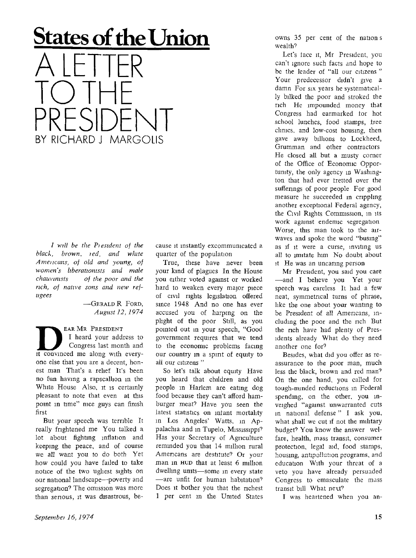## **States of the Union**

A LETTER TO THE PRESIDENT BY RICHARD J MARGOLIS

*/ will be the Piesident of the black, brown, red, and white A mei icans, of old and young, of women's hberationists and male chauvinists of the poor and the rich, of native sons and new refugees* 

> $-$ GERALD R FORD. *August 12, 1974*

EAR MR PRESIDENT I heard your address to Congress last month and it convinced me along with everyone else that you are a decent, honest man That's a relief It's been no fun having a rapscallion in the White House Also, it is certainly pleasant to note that even at this point in time" nice guys can finish first

But your speech was terrible It really frightened me You talked a lot about fighting inflation and keeping the peace, and of course we all want you to do both Yet how could you have failed to take notice of the two ugliest sights on our national landscape—poverty and segregation? The omission was more than serious, it was disastrous, because it instantly excommunicated a quarter of the population

True, these have never been your kind of plagues In the House you either voted against or worked hard to weaken every major piece of civil rights legislation offered since 1948 And no one has ever accused yon of harping on the plight of the poor Still, as you pointed out in your speech, "Good government requires that we tend to the economic problems facing our country in a spirit of equity to all our citizens"

So let's talk about equity Have you heard that children and old people in Harlem are eatmg dog food because they can't afford hamburger meat' Have you seen the latest statistics on infant mortality in Los Angeles' Watts, in Appalachia and in Tupelo, Mississippi? Has your Secretary of Agriculture remmded you that 14 million rural Americans are destitute? Or your man in HUD that at least 6 million dwelling units—some in every state —are unfit for human habitation<sup>7</sup> Does it bother you that the richest 1 per cent m the United States owns 35 per cent of the nation s wealth?

Let's face it, Mr President, you can't ignore such facts and hope to be the leader of "all our citizens " Your predecessor didn't give a damn For six years he systematically bilked the poor and stroked the rich He impounded money that Congress had earmarked tor hot school lunches, food stamps, tree clinics, and low-cost housing, then gave away billions to Lockheed, Grumman and other contractors He closed all but a musty corner of the Office of Economic Opportunity, the only agency in Washington that had ever tretted over the sufferings of poor people For good measure he succeeded in crippling another exceptional Federal agency, the Civil Rights Commission, in its work against endemic segregation Worse, this man took to the airwaves and spoke the word "busing" as if it were a curse, inviting us all to imitate him No doubt about it He was an uncaring person

Mr President, you said you care —and I believe you Yet your speech was careless It had a few neat, symmetrical turns of phrase, like the one about your wanting to be President of all Americans, including the poor and the rich But the rich have had plenty of Presidents already What do they need another one for?

Besides, what did you offer as reassurance to the poor man, much less the black, brown and red man<sup>7</sup> On the one hand, you called for tough-minded reductions in Federal spending, on the other, you inveighed "against unwarranted cuts in national defense " I ask you, what shall we cut if not the mihtary budget? You know the answer welfare, health, mass transit, consumer protection, legal aid, food stamps, housing, antipollution programs, and education With your threat of a veto you have already persuaded Congress to emasculate the mass transit bill What next?

I was heartened when you an-